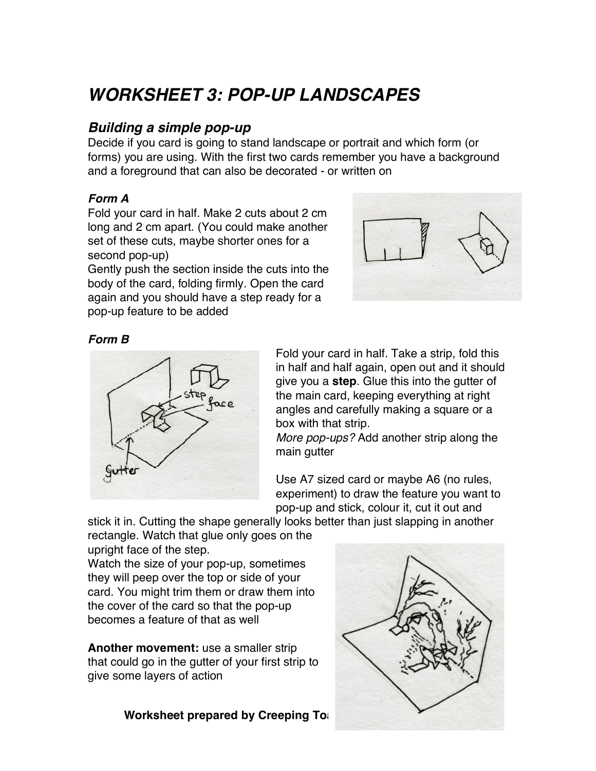## *WORKSHEET 3: POP-UP LANDSCAPES*

## *Building a simple pop-up*

Decide if you card is going to stand landscape or portrait and which form (or forms) you are using. With the first two cards remember you have a background and a foreground that can also be decorated - or written on

#### *Form A*

Fold your card in half. Make 2 cuts about 2 cm long and 2 cm apart. (You could make another set of these cuts, maybe shorter ones for a second pop-up)

Gently push the section inside the cuts into the body of the card, folding firmly. Open the card again and you should have a step ready for a pop-up feature to be added



#### *Form B*



Fold your card in half. Take a strip, fold this in half and half again, open out and it should give you a **step**. Glue this into the gutter of the main card, keeping everything at right angles and carefully making a square or a box with that strip.

*More pop-ups?* Add another strip along the main gutter

Use A7 sized card or maybe A6 (no rules, experiment) to draw the feature you want to pop-up and stick, colour it, cut it out and

stick it in. Cutting the shape generally looks better than just slapping in another rectangle. Watch that glue only goes on the

upright face of the step.

Watch the size of your pop-up, sometimes they will peep over the top or side of your card. You might trim them or draw them into the cover of the card so that the pop-up becomes a feature of that as well

**Another movement:** use a smaller strip that could go in the gutter of your first strip to give some layers of action

**Worksheet prepared by Creeping Toags** 

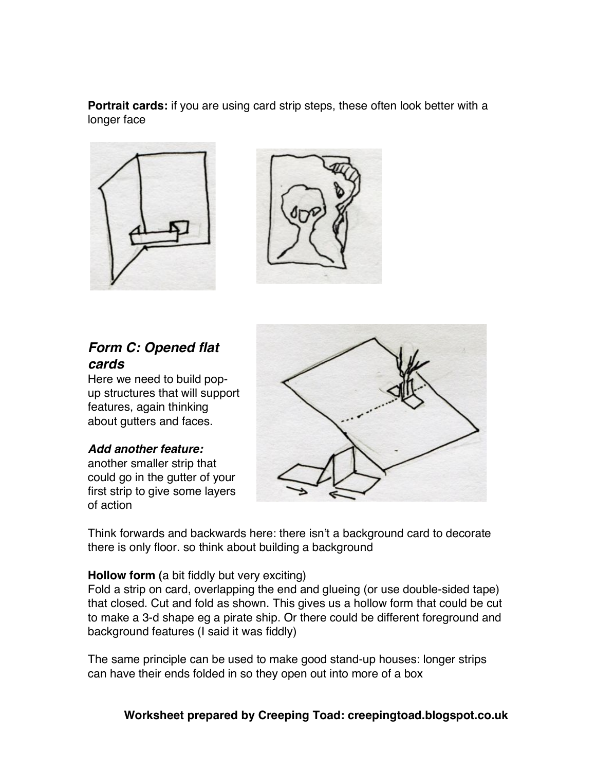**Portrait cards:** if you are using card strip steps, these often look better with a longer face





## *Form C: Opened flat cards*

Here we need to build popup structures that will support features, again thinking about gutters and faces.

#### *Add another feature:*

another smaller strip that could go in the gutter of your first strip to give some layers of action



Think forwards and backwards here: there isn't a background card to decorate there is only floor. so think about building a background

#### **Hollow form (**a bit fiddly but very exciting)

Fold a strip on card, overlapping the end and glueing (or use double-sided tape) that closed. Cut and fold as shown. This gives us a hollow form that could be cut to make a 3-d shape eg a pirate ship. Or there could be different foreground and background features (I said it was fiddly)

The same principle can be used to make good stand-up houses: longer strips can have their ends folded in so they open out into more of a box

**Worksheet prepared by Creeping Toad: creepingtoad.blogspot.co.uk**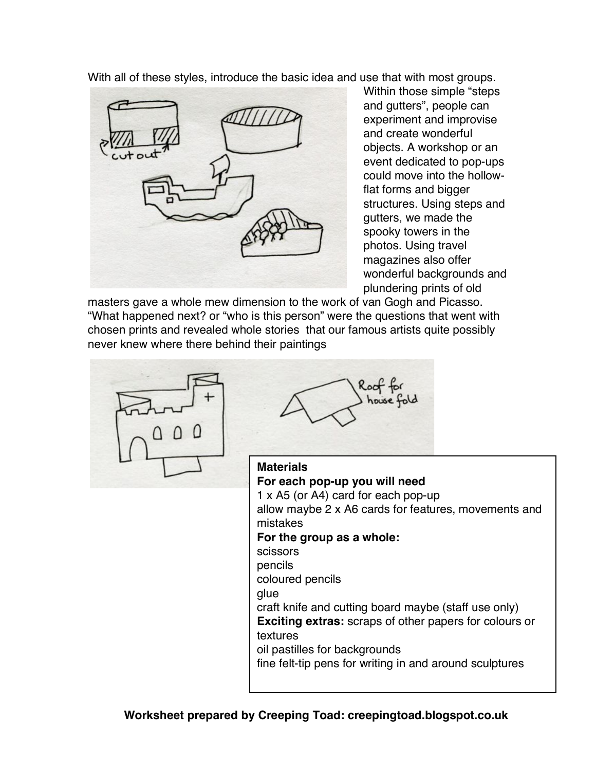With all of these styles, introduce the basic idea and use that with most groups.



Within those simple "steps and gutters", people can experiment and improvise and create wonderful objects. A workshop or an event dedicated to pop-ups could move into the hollowflat forms and bigger structures. Using steps and gutters, we made the spooky towers in the photos. Using travel magazines also offer wonderful backgrounds and plundering prints of old

masters gave a whole mew dimension to the work of van Gogh and Picasso. "What happened next? or "who is this person" were the questions that went with chosen prints and revealed whole stories that our famous artists quite possibly never knew where there behind their paintings





#### **Materials**

**For each pop-up you will need** 1 x A5 (or A4) card for each pop-up allow maybe 2 x A6 cards for features, movements and mistakes **For the group as a whole:**  scissors pencils coloured pencils glue craft knife and cutting board maybe (staff use only) **Exciting extras:** scraps of other papers for colours or textures oil pastilles for backgrounds fine felt-tip pens for writing in and around sculptures